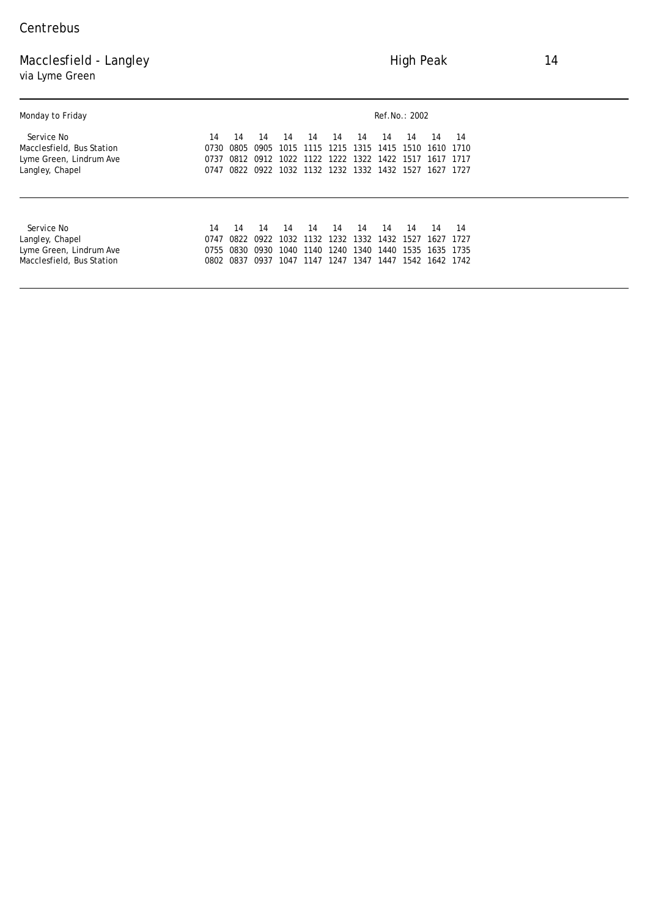## Macclesfield - Langley **Macclesfield - Langley** 14 via Lyme Green

| Monday to Friday          | Ref.No.: 2002 |      |      |      |                |      |      |           |      |                |      |
|---------------------------|---------------|------|------|------|----------------|------|------|-----------|------|----------------|------|
| <i>Service No</i>         | 14            | 14   | 14   | 14   | 14             | 14   | 14   | 14        | 14   | 14             | 14   |
| Macclesfield, Bus Station | 0730          | 0805 | 0905 | 1015 | 1115           | 1215 | 1315 | 1415      | 1510 | 1610           | 1710 |
| Lyme Green, Lindrum Ave   | 0737          | 0812 | 0912 |      | 1022 1122 1222 |      | 1322 | 1422      | 1517 | 1617           | 1717 |
| Langley, Chapel           | 0747          | 0822 | 0922 |      | 1032 1132 1232 |      |      | 1332 1432 | 1527 | 1627           | 1727 |
|                           |               |      |      |      |                |      |      |           |      |                |      |
| Service No                | 14            | 14   | 14   | 14   | 14             | 14   | 14   | 14        | 14   | 14             | 14   |
| Langley, Chapel           | 0747          | 0822 | 0922 |      | 1032 1132 1232 |      | 1332 | 1432      | 1527 | 1627           | 1727 |
| Lyme Green, Lindrum Ave   | 0755          | 0830 | 0930 | 1040 | 1140           | 1240 | 1340 | 1440      | 1535 | 1635           | 1735 |
| Macclesfield, Bus Station | 0802          | 0837 | 0937 | 1047 | 1147           | 1247 | 1347 | 1447      |      | 1542 1642 1742 |      |